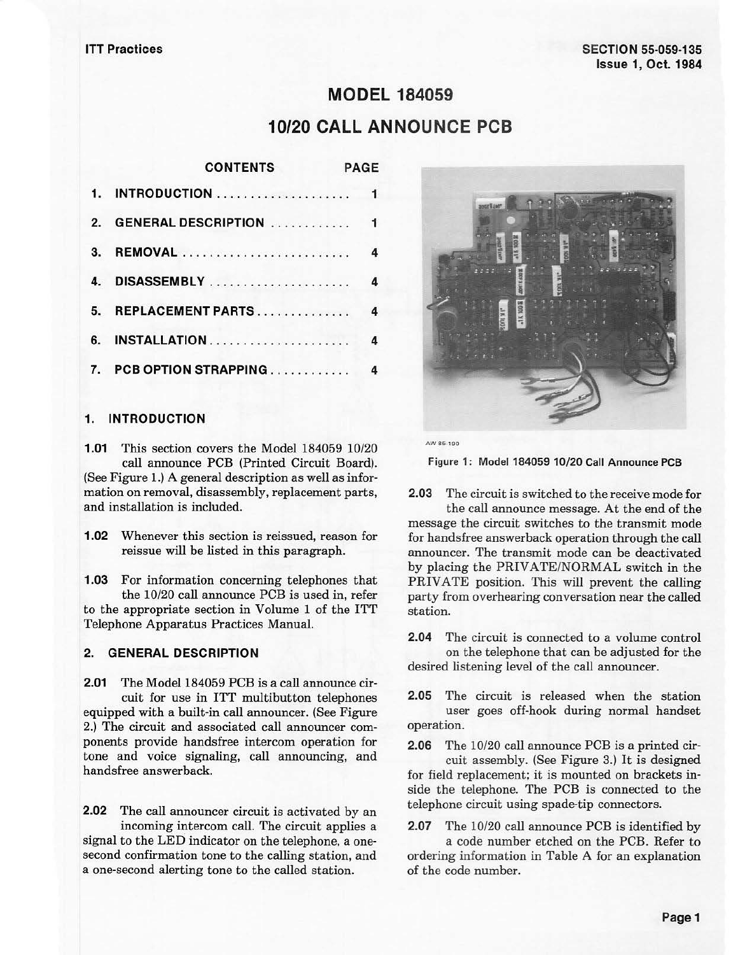# **MODEL 184059 10/20 CALL ANNOUNCE PCB**

|              | <b>CONTENTS</b><br>PAGE                      |  |
|--------------|----------------------------------------------|--|
|              |                                              |  |
| $\mathbf{2}$ |                                              |  |
| 3.           | 4                                            |  |
| 4.           | 4                                            |  |
| 5.           | $\overline{\mathbf{4}}$<br>REPLACEMENT PARTS |  |
|              | 6. INSTALLATION<br>4                         |  |
| 7.           | PCB OPTION STRAPPING<br>4                    |  |

# **1. INTRODUCTION**

**1.01** This section covers the Model 184059 10/20 call announce PCB (Printed Circuit Board). (See Figure 1.) A general description as well as information on removal, disassembly, replacement parts, and installation is included.

**1.02** Whenever this section is reissued, reason for reissue will be listed in this paragraph.

**1.03** For information concerning telephones that the 10/20 call announce PCB is used in, refer to the appropriate section in Volume 1 of the ITT Telephone Apparatus Practices Manual.

# **2. GENERAL DESCRIPTION**

**2.01** The Model 184059 PCB is a call announce circuit for use in ITT multibutton telephones equipped with a built-in call announcer. (See Figure 2.) The circuit and associated call announcer components provide handsfree intercom operation for tone and voice signaling, call announcing, and handsfree answerback.

**2.02** The call announcer circuit is activated by an incoming intercom call. The circuit applies a signal to the LED indicator on the telephone, a onesecond confirmation tone to the calling station, and a one-second alerting tone to the called station.



AWSS-190

**Figure 1: Model 184059 10/20 Call Announce PCB** 

**2.03** The circuit is switched to the receive mode for the call announce message. At the end of the message the circuit switches to the transmit mode for handsfree answerback operation through the call announcer. The transmit mode can be deactivated by placing the PRIVATE/NORMAL switch in the PRIVATE position. This will prevent the calling party from overhearing conversation near the called station.

**2.04** The circuit is connected to a volume control on the telephone that can be adjusted for the desired listening level of the call announcer.

**2.05** The circuit is released when the station user goes off-hook during normal handset operation.

**2.06** The 10/20 call announce PCB is a printed circuit assembly. (See Figure 3.) It is designed for field replacement; it is mounted on brackets inside the telephone. The PCB is connected to the telephone circuit using spade-tip connectors.

**2.07** The 10/20 call announce PCB is identified by

a code number etched on the PCB. Refer to ordering information in Table A for an explanation of the code number.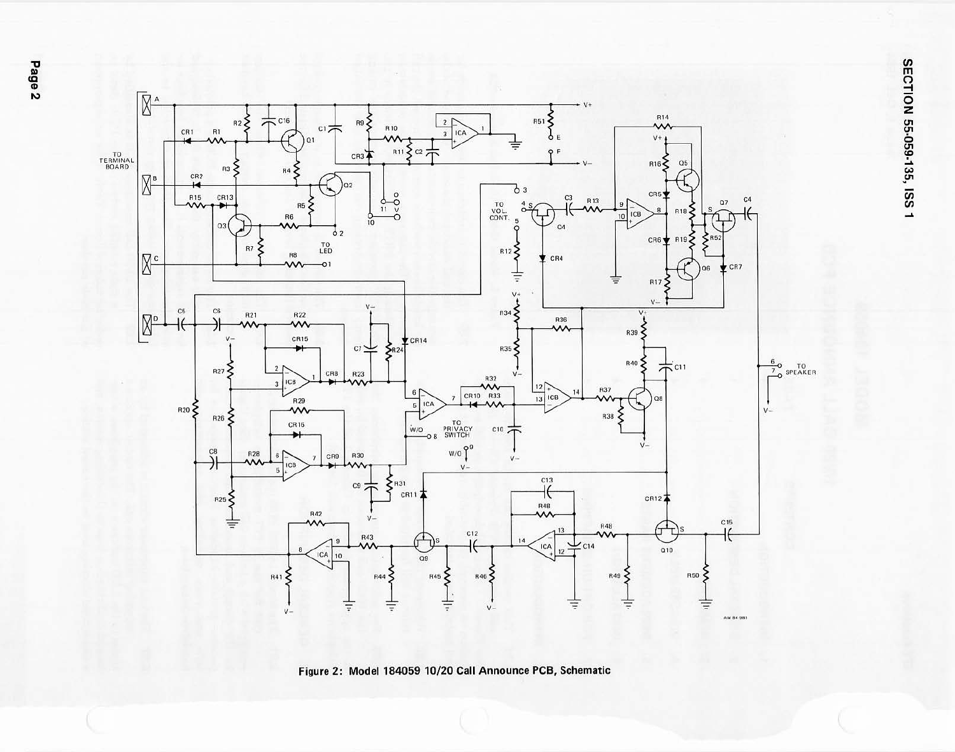

Figure 2: Model 184059 10/20 Call Announce PCB, Schematic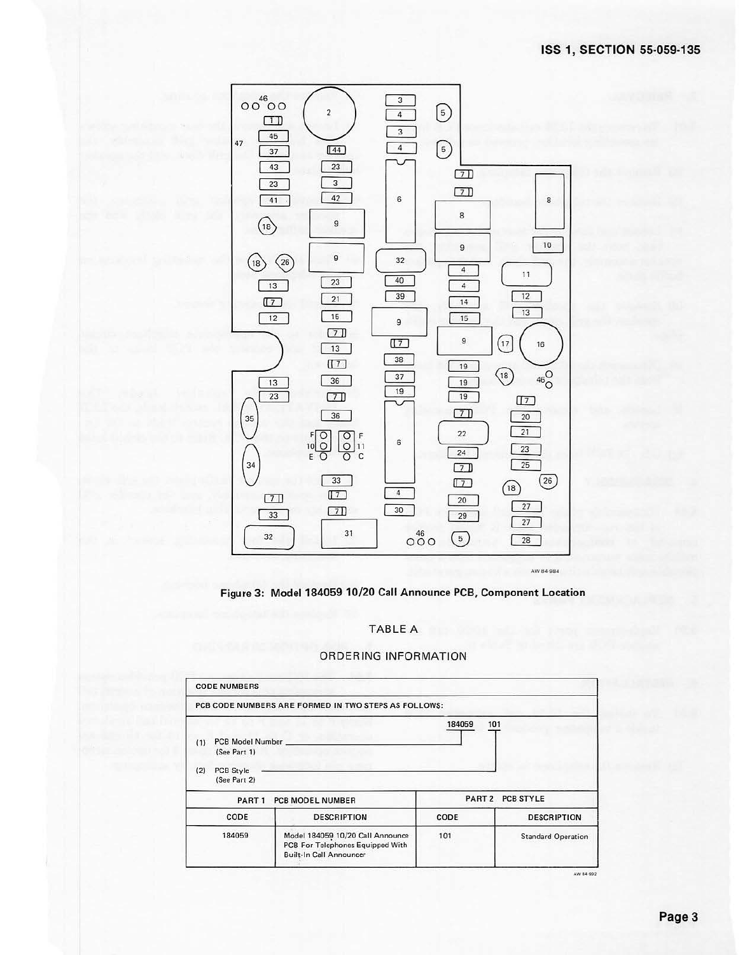



TABLE A

# **ORDERING INFORMATION**

|            | <b>CODE NUMBERS</b>                           |                                                                                                        |        |                           |
|------------|-----------------------------------------------|--------------------------------------------------------------------------------------------------------|--------|---------------------------|
|            |                                               | PCB CODE NUMBERS ARE FORMED IN TWO STEPS AS FOLLOWS:                                                   |        |                           |
| (1)<br>(2) | PCB Model Number<br>(See Part 1)<br>PCB Style |                                                                                                        | 184059 | 101                       |
|            | (See Part 2)                                  |                                                                                                        |        | PART 2 PCB STYLE          |
|            | PART <sub>1</sub>                             | <b>PCB MODEL NUMBER</b>                                                                                |        |                           |
|            | CODE                                          | <b>DESCRIPTION</b>                                                                                     | CODE   | <b>DESCRIPTION</b>        |
|            | 184059                                        | Model 184059 10/20 Call Announce<br>PCB For Telephones Equipped With<br><b>Built-In Call Announcer</b> | 101    | <b>Standard Operation</b> |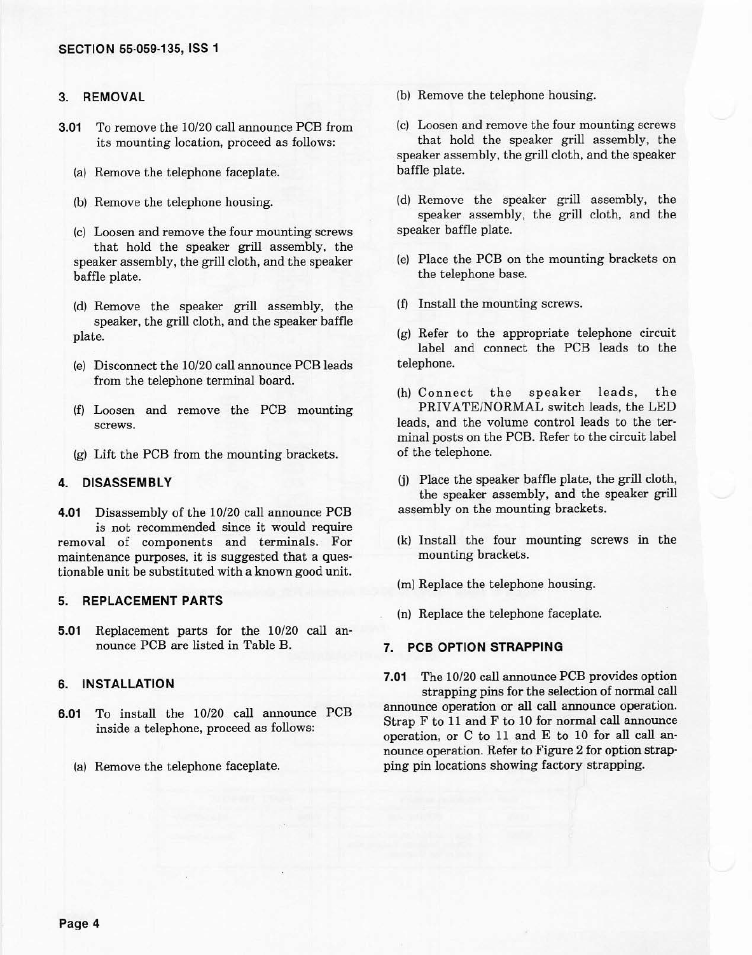# **3. REMOVAL**

- **3.01** To remove the 10/20 call announce PCB from its mounting location, proceed as follows:
	- (a) Remove the telephone faceplate.
	- (b) Remove the telephone housing.
	- {c) Loosen and remove the four mounting screws that hold the speaker grill assembly, the speaker assembly, the grill cloth, and the speaker baffle plate.
	- {d) Remove the speaker grill assembly, the speaker, the grill cloth, and the speaker baffle plate.
	- (e) Disconnect the 10/20 call announce PCB leads from the telephone terminal board.
	- (f) Loosen and remove the PCB mounting screws.
	- (g) Lift the PCB from the mounting brackets.

# **4. DISASSEMBLY**

**4.01** Disassembly of the 10/20 call announce PCB is not recommended since it would require removal of components and terminals. For maintenance purposes, it is suggested that a questionable unit be substituted with a known good unit.

#### **5. REPLACEMENT PARTS**

**5.01** Replacement parts for the 10/20 call an· nounce PCB are listed in Table B.

#### **6. INSTALLATION**

- **6.01** To install the 10/20 call announce PCB inside a telephone, proceed as follows:
	- (a) Remove the telephone faceplate.
- (b) Remove the telephone housing.
- (c) Loosen and remove the four mounting screws that hold the speaker grill assembly, the

speaker assembly, the grill cloth, and the speaker baffle plate.

- (d) Remove the speaker grill assembly, the speaker assembly, the grill cloth, and the speaker baffle plate.
- (e) Place the PCB on the mounting brackets on the telephone base.
- (f) Install the mounting screws.
- (g) Refer to the appropriate telephone circuit label and connect the PCB leads to the telephone.
- (h) Connect the speaker leads, the PRIVATE/NORMAL switch leads, the LED leads, and the volume control leads to the ter· minal posts on the PCB. Refer to the circuit label of the telephone.
- (j) Place the speaker baffle plate, the grill cloth, the speaker assembly, and the speaker grill assembly on the mounting brackets.
- (k) Install the four mounting screws in the mounting brackets.
- (m) Replace the telephone housing.
- (n) Replace the telephone faceplate.

#### **7. PCB OPTION STRAPPING**

- **7.01** The 10/20 call announce PCB provides option strapping pins for the selection of normal call announce operation or all call announce operation. Strap F to 11 and F to 10 for normal call announce
- operation, or C to 11 and E to 10 for all call an· nounce operation. Refer to Figure 2 for option strap· ping pin locations showing factory strapping.